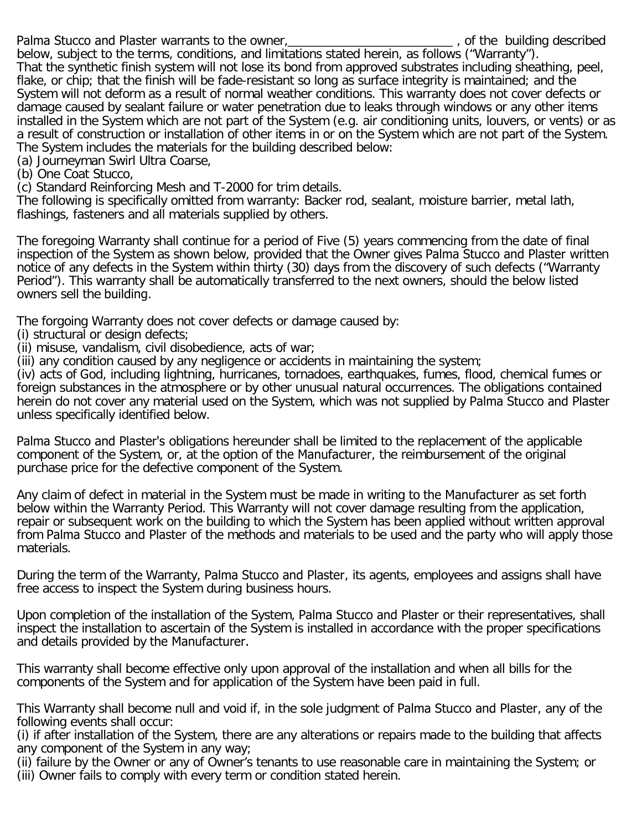Palma Stucco and Plaster warrants to the owner, the state of the building described

below, subject to the terms, conditions, and limitations stated herein, as follows ("Warranty"). That the synthetic finish system will not lose its bond from approved substrates including sheathing, peel, flake, or chip; that the finish will be fade-resistant so long as surface integrity is maintained; and the System will not deform as a result of normal weather conditions. This warranty does not cover defects or damage caused by sealant failure or water penetration due to leaks through windows or any other items installed in the System which are not part of the System (e.g. air conditioning units, louvers, or vents) or as a result of construction or installation of other items in or on the System which are not part of the System. The System includes the materials for the building described below:

(a) Journeyman Swirl Ultra Coarse,

(b) One Coat Stucco,

(c) Standard Reinforcing Mesh and T-2000 for trim details.

The following is specifically omitted from warranty: Backer rod, sealant, moisture barrier, metal lath, flashings, fasteners and all materials supplied by others.

The foregoing Warranty shall continue for a period of Five (5) years commencing from the date of final inspection of the System as shown below, provided that the Owner gives Palma Stucco and Plaster written notice of any defects in the System within thirty (30) days from the discovery of such defects ("Warranty Period"). This warranty shall be automatically transferred to the next owners, should the below listed owners sell the building.

The forgoing Warranty does not cover defects or damage caused by:

(i) structural or design defects;

(ii) misuse, vandalism, civil disobedience, acts of war;

(iii) any condition caused by any negligence or accidents in maintaining the system;

(iv) acts of God, including lightning, hurricanes, tornadoes, earthquakes, fumes, flood, chemical fumes or foreign substances in the atmosphere or by other unusual natural occurrences. The obligations contained herein do not cover any material used on the System, which was not supplied by Palma Stucco and Plaster unless specifically identified below.

Palma Stucco and Plaster's obligations hereunder shall be limited to the replacement of the applicable component of the System, or, at the option of the Manufacturer, the reimbursement of the original purchase price for the defective component of the System.

Any claim of defect in material in the System must be made in writing to the Manufacturer as set forth below within the Warranty Period. This Warranty will not cover damage resulting from the application, repair or subsequent work on the building to which the System has been applied without written approval from Palma Stucco and Plaster of the methods and materials to be used and the party who will apply those materials.

During the term of the Warranty, Palma Stucco and Plaster, its agents, employees and assigns shall have free access to inspect the System during business hours.

Upon completion of the installation of the System, Palma Stucco and Plaster or their representatives, shall inspect the installation to ascertain of the System is installed in accordance with the proper specifications and details provided by the Manufacturer.

This warranty shall become effective only upon approval of the installation and when all bills for the components of the System and for application of the System have been paid in full.

This Warranty shall become null and void if, in the sole judgment of Palma Stucco and Plaster, any of the following events shall occur:

(i) if after installation of the System, there are any alterations or repairs made to the building that affects any component of the System in any way;

(ii) failure by the Owner or any of Owner's tenants to use reasonable care in maintaining the System; or (iii) Owner fails to comply with every term or condition stated herein.